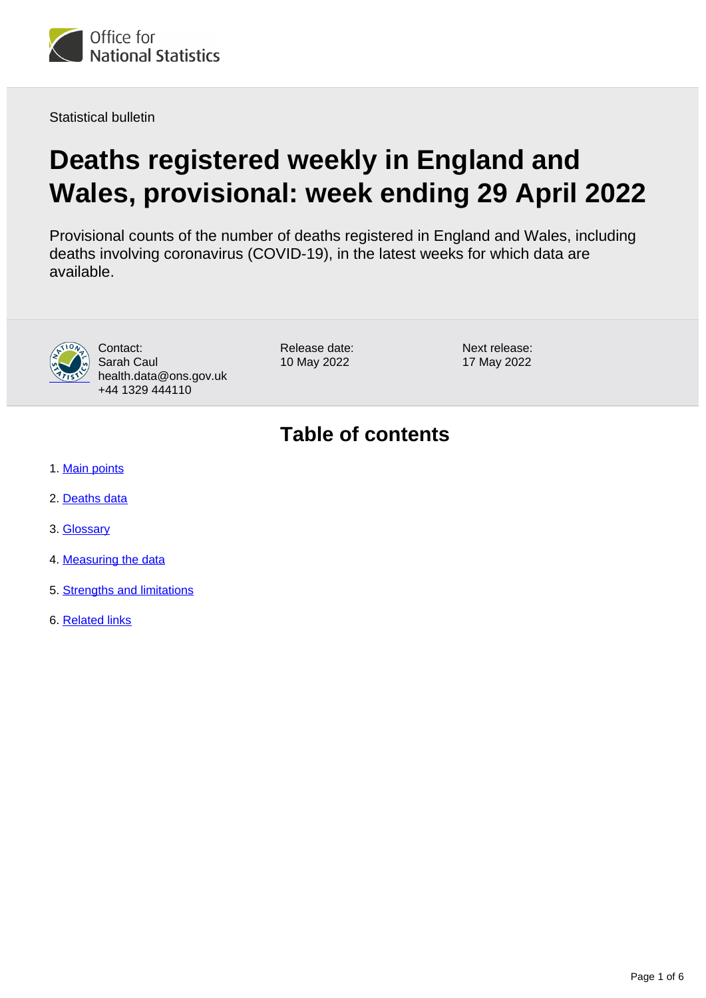

Statistical bulletin

# **Deaths registered weekly in England and Wales, provisional: week ending 29 April 2022**

Provisional counts of the number of deaths registered in England and Wales, including deaths involving coronavirus (COVID-19), in the latest weeks for which data are available.



Contact: Sarah Caul health.data@ons.gov.uk +44 1329 444110

Release date: 10 May 2022

Next release: 17 May 2022

# **Table of contents**

- 1. [Main points](#page-1-0)
- 2. [Deaths data](#page-2-0)
- 3. [Glossary](#page-3-0)
- 4. [Measuring the data](#page-3-1)
- 5. [Strengths and limitations](#page-4-0)
- 6. [Related links](#page-5-0)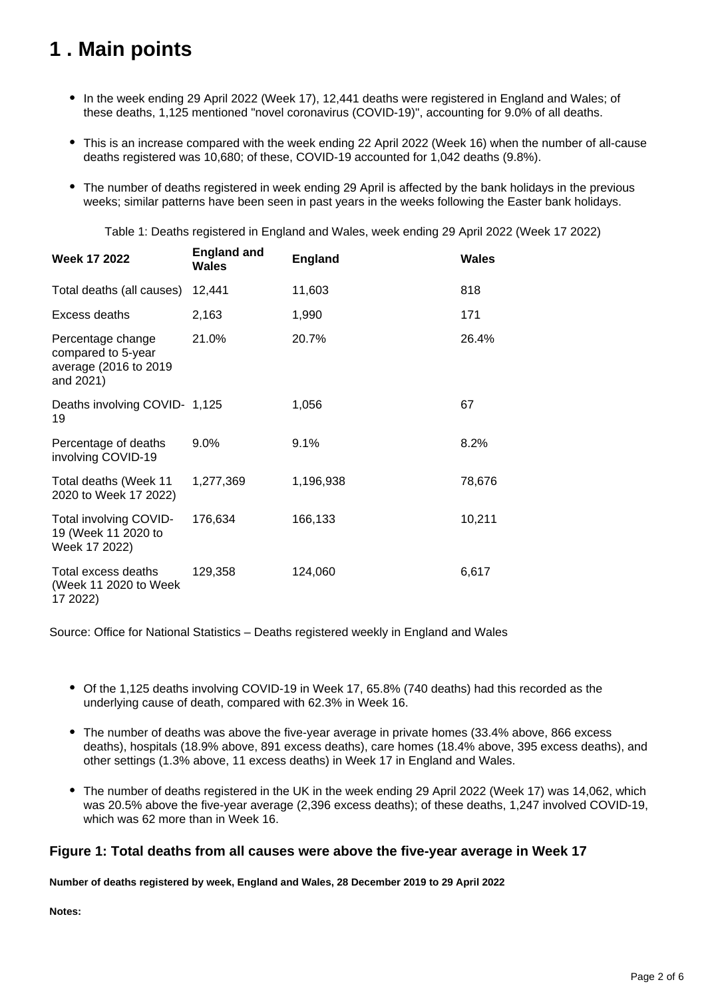## <span id="page-1-0"></span>**1 . Main points**

- In the week ending 29 April 2022 (Week 17), 12,441 deaths were registered in England and Wales; of these deaths, 1,125 mentioned "novel coronavirus (COVID-19)", accounting for 9.0% of all deaths.
- This is an increase compared with the week ending 22 April 2022 (Week 16) when the number of all-cause deaths registered was 10,680; of these, COVID-19 accounted for 1,042 deaths (9.8%).
- The number of deaths registered in week ending 29 April is affected by the bank holidays in the previous weeks; similar patterns have been seen in past years in the weeks following the Easter bank holidays.

Table 1: Deaths registered in England and Wales, week ending 29 April 2022 (Week 17 2022)

| <b>Week 17 2022</b>                                                           | <b>England and</b><br>Wales | <b>England</b> | <b>Wales</b> |
|-------------------------------------------------------------------------------|-----------------------------|----------------|--------------|
| Total deaths (all causes)                                                     | 12,441                      | 11,603         | 818          |
| Excess deaths                                                                 | 2,163                       | 1,990          | 171          |
| Percentage change<br>compared to 5-year<br>average (2016 to 2019<br>and 2021) | 21.0%                       | 20.7%          | 26.4%        |
| Deaths involving COVID- 1,125<br>19                                           |                             | 1,056          | 67           |
| Percentage of deaths<br>involving COVID-19                                    | $9.0\%$                     | 9.1%           | 8.2%         |
| Total deaths (Week 11<br>2020 to Week 17 2022)                                | 1,277,369                   | 1,196,938      | 78,676       |
| Total involving COVID-<br>19 (Week 11 2020 to<br>Week 17 2022)                | 176,634                     | 166,133        | 10,211       |
| Total excess deaths<br>(Week 11 2020 to Week<br>17 2022)                      | 129,358                     | 124,060        | 6,617        |

Source: Office for National Statistics – Deaths registered weekly in England and Wales

- Of the 1,125 deaths involving COVID-19 in Week 17, 65.8% (740 deaths) had this recorded as the underlying cause of death, compared with 62.3% in Week 16.
- The number of deaths was above the five-year average in private homes (33.4% above, 866 excess deaths), hospitals (18.9% above, 891 excess deaths), care homes (18.4% above, 395 excess deaths), and other settings (1.3% above, 11 excess deaths) in Week 17 in England and Wales.
- The number of deaths registered in the UK in the week ending 29 April 2022 (Week 17) was 14,062, which was 20.5% above the five-year average (2,396 excess deaths); of these deaths, 1,247 involved COVID-19, which was 62 more than in Week 16.

#### **Figure 1: Total deaths from all causes were above the five-year average in Week 17**

**Number of deaths registered by week, England and Wales, 28 December 2019 to 29 April 2022**

**Notes:**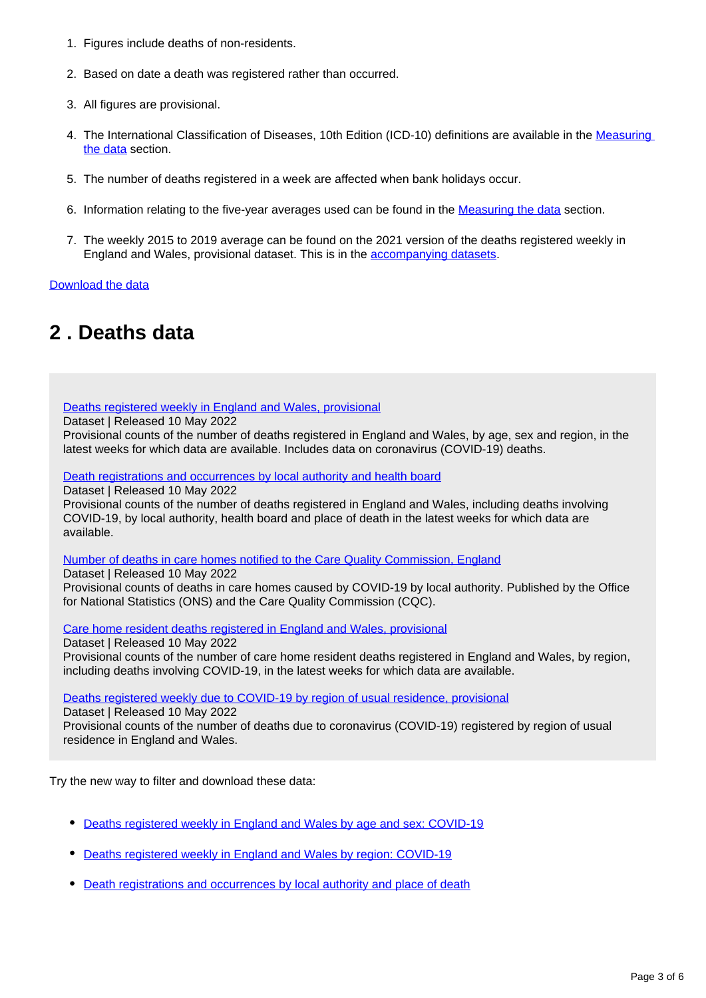- 1. Figures include deaths of non-residents.
- 2. Based on date a death was registered rather than occurred.
- 3. All figures are provisional.
- 4. The International Classification of Diseases, 10th Edition (ICD-10) definitions are available in the Measuring [the data](https://www.ons.gov.uk/peoplepopulationandcommunity/birthsdeathsandmarriages/deaths/bulletins/deathsregisteredweeklyinenglandandwalesprovisional/weekending29april2022#measuring-the-data) section.
- 5. The number of deaths registered in a week are affected when bank holidays occur.
- 6. Information relating to the five-year averages used can be found in the **[Measuring the data](https://www.ons.gov.uk/peoplepopulationandcommunity/birthsdeathsandmarriages/deaths/bulletins/deathsregisteredweeklyinenglandandwalesprovisional/weekending29april2022#measuring-the-data)** section.
- 7. The weekly 2015 to 2019 average can be found on the 2021 version of the deaths registered weekly in England and Wales, provisional dataset. This is in the [accompanying datasets.](https://www.ons.gov.uk/peoplepopulationandcommunity/birthsdeathsandmarriages/deaths/bulletins/deathsregisteredweeklyinenglandandwalesprovisional/weekending29april2022/relateddata)

[Download the data](https://www.ons.gov.uk/visualisations/dvc1956/fig1/datadownload.xlsx)

### <span id="page-2-0"></span>**2 . Deaths data**

[Deaths registered weekly in England and Wales, provisional](https://www.ons.gov.uk/peoplepopulationandcommunity/birthsdeathsandmarriages/deaths/datasets/weeklyprovisionalfiguresondeathsregisteredinenglandandwales)

Dataset | Released 10 May 2022

Provisional counts of the number of deaths registered in England and Wales, by age, sex and region, in the latest weeks for which data are available. Includes data on coronavirus (COVID-19) deaths.

[Death registrations and occurrences by local authority and health board](https://www.ons.gov.uk/peoplepopulationandcommunity/healthandsocialcare/causesofdeath/datasets/deathregistrationsandoccurrencesbylocalauthorityandhealthboard)

Dataset | Released 10 May 2022

Provisional counts of the number of deaths registered in England and Wales, including deaths involving COVID-19, by local authority, health board and place of death in the latest weeks for which data are available.

[Number of deaths in care homes notified to the Care Quality Commission, England](https://www.ons.gov.uk/peoplepopulationandcommunity/birthsdeathsandmarriages/deaths/datasets/numberofdeathsincarehomesnotifiedtothecarequalitycommissionengland)

Dataset | Released 10 May 2022

Provisional counts of deaths in care homes caused by COVID-19 by local authority. Published by the Office for National Statistics (ONS) and the Care Quality Commission (CQC).

[Care home resident deaths registered in England and Wales, provisional](https://www.ons.gov.uk/peoplepopulationandcommunity/birthsdeathsandmarriages/deaths/datasets/carehomeresidentdeathsregisteredinenglandandwalesprovisional)

Dataset | Released 10 May 2022 Provisional counts of the number of care home resident deaths registered in England and Wales, by region, including deaths involving COVID-19, in the latest weeks for which data are available.

[Deaths registered weekly due to COVID-19 by region of usual residence, provisional](http://www.ons.gov.uk/peoplepopulationandcommunity/birthsdeathsandmarriages/deaths/datasets/deathsregisteredweeklyduetocovid19byregionofusualresidenceprovisional)

Dataset | Released 10 May 2022 Provisional counts of the number of deaths due to coronavirus (COVID-19) registered by region of usual residence in England and Wales.

Try the new way to filter and download these data:

- [Deaths registered weekly in England and Wales by age and sex: COVID-19](https://www.ons.gov.uk/datasets/weekly-deaths-age-sex?%3Auri=weekly-deaths-age-sex%2F)
- [Deaths registered weekly in England and Wales by region: COVID-19](https://www.ons.gov.uk/datasets/weekly-deaths-region/)
- [Death registrations and occurrences by local authority and place of death](http://www.ons.gov.uk/datasets/weekly-deaths-local-authority)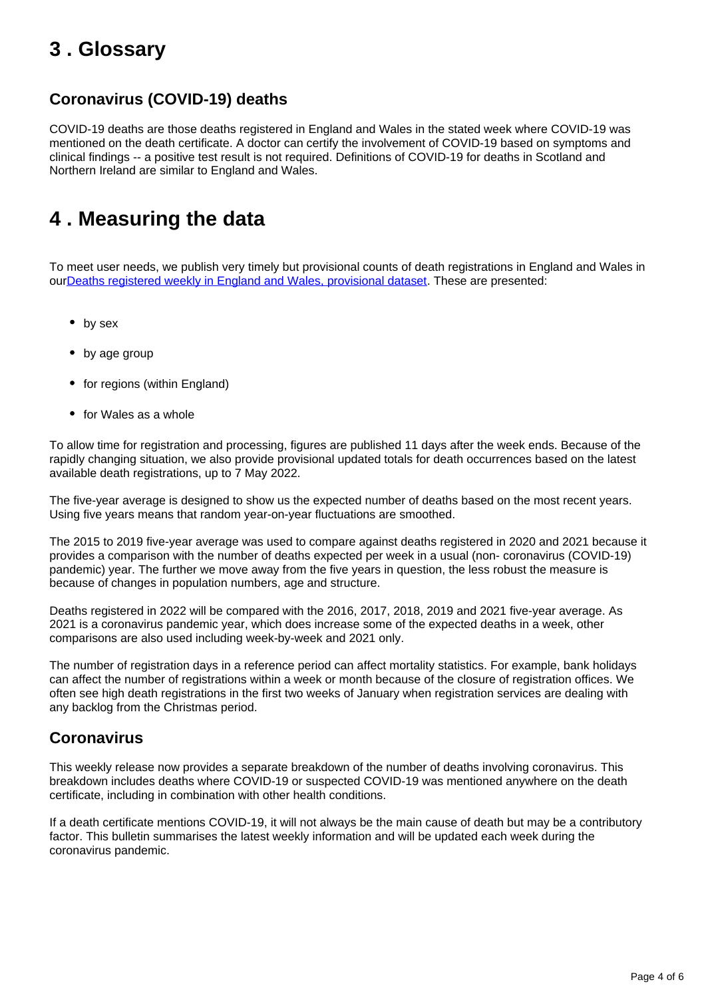### <span id="page-3-0"></span>**3 . Glossary**

#### **Coronavirus (COVID-19) deaths**

COVID-19 deaths are those deaths registered in England and Wales in the stated week where COVID-19 was mentioned on the death certificate. A doctor can certify the involvement of COVID-19 based on symptoms and clinical findings -- a positive test result is not required. Definitions of COVID-19 for deaths in Scotland and Northern Ireland are similar to England and Wales.

### <span id="page-3-1"></span>**4 . Measuring the data**

To meet user needs, we publish very timely but provisional counts of death registrations in England and Wales in ou[rDeaths registered weekly in England and Wales, provisional dataset](https://www.ons.gov.uk/peoplepopulationandcommunity/birthsdeathsandmarriages/deaths/datasets/weeklyprovisionalfiguresondeathsregisteredinenglandandwales). These are presented:

- by sex
- by age group
- for regions (within England)
- for Wales as a whole

To allow time for registration and processing, figures are published 11 days after the week ends. Because of the rapidly changing situation, we also provide provisional updated totals for death occurrences based on the latest available death registrations, up to 7 May 2022.

The five-year average is designed to show us the expected number of deaths based on the most recent years. Using five years means that random year-on-year fluctuations are smoothed.

The 2015 to 2019 five-year average was used to compare against deaths registered in 2020 and 2021 because it provides a comparison with the number of deaths expected per week in a usual (non- coronavirus (COVID-19) pandemic) year. The further we move away from the five years in question, the less robust the measure is because of changes in population numbers, age and structure.

Deaths registered in 2022 will be compared with the 2016, 2017, 2018, 2019 and 2021 five-year average. As 2021 is a coronavirus pandemic year, which does increase some of the expected deaths in a week, other comparisons are also used including week-by-week and 2021 only.

The number of registration days in a reference period can affect mortality statistics. For example, bank holidays can affect the number of registrations within a week or month because of the closure of registration offices. We often see high death registrations in the first two weeks of January when registration services are dealing with any backlog from the Christmas period.

#### **Coronavirus**

This weekly release now provides a separate breakdown of the number of deaths involving coronavirus. This breakdown includes deaths where COVID-19 or suspected COVID-19 was mentioned anywhere on the death certificate, including in combination with other health conditions.

If a death certificate mentions COVID-19, it will not always be the main cause of death but may be a contributory factor. This bulletin summarises the latest weekly information and will be updated each week during the coronavirus pandemic.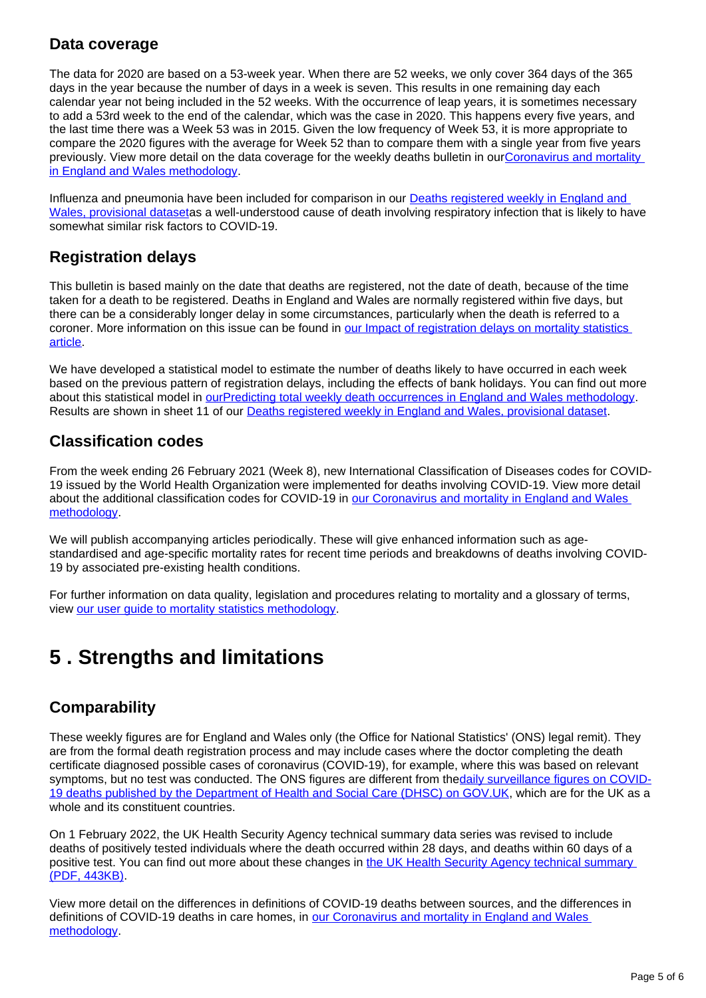#### **Data coverage**

The data for 2020 are based on a 53-week year. When there are 52 weeks, we only cover 364 days of the 365 days in the year because the number of days in a week is seven. This results in one remaining day each calendar year not being included in the 52 weeks. With the occurrence of leap years, it is sometimes necessary to add a 53rd week to the end of the calendar, which was the case in 2020. This happens every five years, and the last time there was a Week 53 was in 2015. Given the low frequency of Week 53, it is more appropriate to compare the 2020 figures with the average for Week 52 than to compare them with a single year from five years previously. View more detail on the data coverage for the weekly deaths bulletin in our[Coronavirus and mortality](https://www.ons.gov.uk/peoplepopulationandcommunity/birthsdeathsandmarriages/deaths/methodologies/coronavirusandmortalityinenglandandwalesmethodology)  [in England and Wales methodology](https://www.ons.gov.uk/peoplepopulationandcommunity/birthsdeathsandmarriages/deaths/methodologies/coronavirusandmortalityinenglandandwalesmethodology).

Influenza and pneumonia have been included for comparison in our **Deaths registered weekly in England and** [Wales, provisional dataseta](https://www.ons.gov.uk/peoplepopulationandcommunity/birthsdeathsandmarriages/deaths/datasets/weeklyprovisionalfiguresondeathsregisteredinenglandandwales)s a well-understood cause of death involving respiratory infection that is likely to have somewhat similar risk factors to COVID-19.

#### **Registration delays**

This bulletin is based mainly on the date that deaths are registered, not the date of death, because of the time taken for a death to be registered. Deaths in England and Wales are normally registered within five days, but there can be a considerably longer delay in some circumstances, particularly when the death is referred to a coroner. More information on this issue can be found in our Impact of registration delays on mortality statistics [article.](https://www.ons.gov.uk/peoplepopulationandcommunity/birthsdeathsandmarriages/deaths/articles/impactofregistrationdelaysonmortalitystatisticsinenglandandwales/2020)

We have developed a statistical model to estimate the number of deaths likely to have occurred in each week based on the previous pattern of registration delays, including the effects of bank holidays. You can find out more about this statistical model in [ourPredicting total weekly death occurrences in England and Wales methodology.](https://www.ons.gov.uk/peoplepopulationandcommunity/birthsdeathsandmarriages/deaths/methodologies/predictingtotalweeklydeathoccurrencesinenglandandwalesmethodology) Results are shown in sheet 11 of our [Deaths registered weekly in England and Wales, provisional dataset](https://www.ons.gov.uk/peoplepopulationandcommunity/birthsdeathsandmarriages/deaths/datasets/weeklyprovisionalfiguresondeathsregisteredinenglandandwales).

### **Classification codes**

From the week ending 26 February 2021 (Week 8), new International Classification of Diseases codes for COVID-19 issued by the World Health Organization were implemented for deaths involving COVID-19. View more detail about the additional classification codes for COVID-19 in [our Coronavirus and mortality in England and Wales](https://www.ons.gov.uk/peoplepopulationandcommunity/birthsdeathsandmarriages/deaths/methodologies/coronavirusandmortalityinenglandandwalesmethodology)  [methodology.](https://www.ons.gov.uk/peoplepopulationandcommunity/birthsdeathsandmarriages/deaths/methodologies/coronavirusandmortalityinenglandandwalesmethodology)

We will publish accompanying articles periodically. These will give enhanced information such as agestandardised and age-specific mortality rates for recent time periods and breakdowns of deaths involving COVID-19 by associated pre-existing health conditions.

For further information on data quality, legislation and procedures relating to mortality and a glossary of terms, view [our user guide to mortality statistics methodology](https://www.ons.gov.uk/peoplepopulationandcommunity/birthsdeathsandmarriages/deaths/methodologies/userguidetomortalitystatisticsjuly2017).

### <span id="page-4-0"></span>**5 . Strengths and limitations**

### **Comparability**

These weekly figures are for England and Wales only (the Office for National Statistics' (ONS) legal remit). They are from the formal death registration process and may include cases where the doctor completing the death certificate diagnosed possible cases of coronavirus (COVID-19), for example, where this was based on relevant symptoms, but no test was conducted. The ONS figures are different from the [daily surveillance figures on COVID-](https://coronavirus.data.gov.uk/)[19 deaths published by the Department of Health and Social Care \(DHSC\) on GOV.UK,](https://coronavirus.data.gov.uk/) which are for the UK as a whole and its constituent countries.

On 1 February 2022, the UK Health Security Agency technical summary data series was revised to include deaths of positively tested individuals where the death occurred within 28 days, and deaths within 60 days of a positive test. You can find out more about these changes in the UK Health Security Agency technical summary [\(PDF, 443KB\).](https://assets.publishing.service.gov.uk/government/uploads/system/uploads/attachment_data/file/1052203/UKHSA-technical-summary-update-February-2022.pdf)

View more detail on the differences in definitions of COVID-19 deaths between sources, and the differences in definitions of COVID-19 deaths in care homes, in [our Coronavirus and mortality in England and Wales](https://www.ons.gov.uk/peoplepopulationandcommunity/birthsdeathsandmarriages/deaths/methodologies/coronavirusandmortalityinenglandandwalesmethodology)  [methodology.](https://www.ons.gov.uk/peoplepopulationandcommunity/birthsdeathsandmarriages/deaths/methodologies/coronavirusandmortalityinenglandandwalesmethodology)